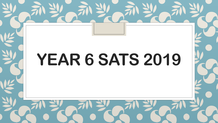# **YEAR 6 SATS 2019**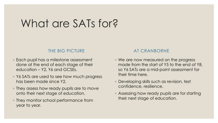#### What are SATs for?

#### THE BIG PICTURE

- Each pupil has a milestone assessment done at the end of each stage of their education – Y2, Y6 and GCSEs.
- Y6 SATs are used to see how much progress has been made since Y2.
- They assess how ready pupils are to move onto their next stage of education.
- They monitor school performance from year to year.

#### AT CRANBORNE

- We are now measured on the progress made from the start of Y5 to the end of Y8, so Y6 SATs are a mid-point assessment for their time here.
- Developing skills such as revision, test confidence, resilience.
- Assessing how ready pupils are for starting their next stage of education.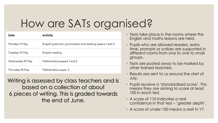### How are SATs organised?

| Date             | <b>Activity</b>                                          |
|------------------|----------------------------------------------------------|
| Monday 13 May    | English grammar, punctuation and spelling papers 1 and 2 |
| Tuesday 14 May   | English reading                                          |
| Wednesday 15 May | Mathematics papers 1 and 2                               |
| Thursday 16 May  | Mathematics paper 3                                      |

Writing is assessed by class teachers and is based on a collection of about 6 pieces of writing. This is graded towards the end of June.

- Tests take place in the rooms where the English and maths lessons are held.
- Pupils who are allowed readers, extra time, prompts or scribes are supported in different rooms from one to one to small groups.
- Tests are posted away to be marked by other trained teachers.
- Results are sent to us around the start of July.
- Pupils receive a 'standardised score'. This means they are aiming to score at least 100 in each test.
- A score of 110 indicates a real confidence in that test – 'greater depth'.
- A score of under 100 means a resit in Y7.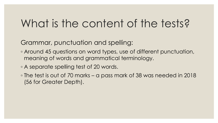Grammar, punctuation and spelling:

- Around 45 questions on word types, use of different punctuation, meaning of words and grammatical terminology.
- A separate spelling test of 20 words.
- The test is out of 70 marks a pass mark of 38 was needed in 2018 (56 for Greater Depth).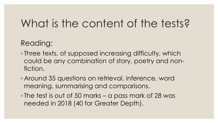#### Reading:

- Three texts, of supposed increasing difficulty, which could be any combination of story, poetry and nonfiction.
- Around 35 questions on retrieval, inference, word meaning, summarising and comparisons.
- The test is out of 50 marks a pass mark of 28 was needed in 2018 (40 for Greater Depth).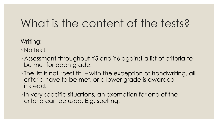Writing:

- No test!
- Assessment throughout Y5 and Y6 against a list of criteria to be met for each grade.
- The list is not 'best fit' with the exception of handwriting, all criteria have to be met, or a lower grade is awarded instead.
- In very specific situations, an exemption for one of the criteria can be used. E.g. spelling.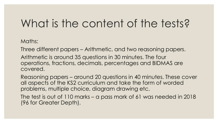Maths:

Three different papers – Arithmetic, and two reasoning papers.

Arithmetic is around 35 questions in 30 minutes. The four operations, fractions, decimals, percentages and BIDMAS are covered.

Reasoning papers – around 20 questions in 40 minutes. These cover all aspects of the KS2 curriculum and take the form of worded problems, multiple choice, diagram drawing etc.

The test is out of 110 marks – a pass mark of 61 was needed in 2018 (96 for Greater Depth).